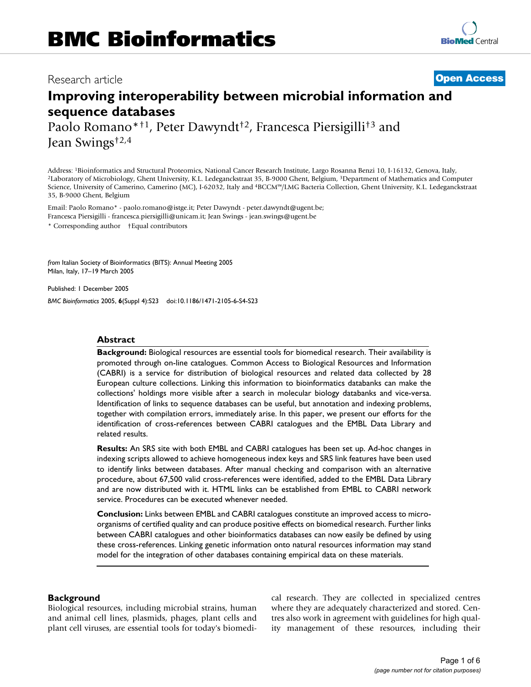# **Improving interoperability between microbial information and sequence databases**

Paolo Romano\*†1, Peter Dawyndt†2, Francesca Piersigilli†3 and Jean Swings†2,4

Address: <sup>1</sup>Bioinformatics and Structural Proteomics, National Cancer Research Institute, Largo Rosanna Benzi 10, I-16132, Genova, Italy, <sup>2</sup>Laboratory of Microbiology, Ghent University, K.L. Ledeganckstraat 35, B-9000 Ghe Science, University of Camerino, Camerino (MC), I-62032, Italy and 4BCCM™/LMG Bacteria Collection, Ghent University, K.L. Ledeganckstraat 35, B-9000 Ghent, Belgium

Email: Paolo Romano\* - paolo.romano@istge.it; Peter Dawyndt - peter.dawyndt@ugent.be; Francesca Piersigilli - francesca.piersigilli@unicam.it; Jean Swings - jean.swings@ugent.be \* Corresponding author †Equal contributors

*from* Italian Society of Bioinformatics (BITS): Annual Meeting 2005 Milan, Italy, 17–19 March 2005

Published: 1 December 2005

*BMC Bioinformatics* 2005, **6**(Suppl 4):S23 doi:10.1186/1471-2105-6-S4-S23

# **Abstract**

**Background:** Biological resources are essential tools for biomedical research. Their availability is promoted through on-line catalogues. Common Access to Biological Resources and Information (CABRI) is a service for distribution of biological resources and related data collected by 28 European culture collections. Linking this information to bioinformatics databanks can make the collections' holdings more visible after a search in molecular biology databanks and vice-versa. Identification of links to sequence databases can be useful, but annotation and indexing problems, together with compilation errors, immediately arise. In this paper, we present our efforts for the identification of cross-references between CABRI catalogues and the EMBL Data Library and related results.

**Results:** An SRS site with both EMBL and CABRI catalogues has been set up. Ad-hoc changes in indexing scripts allowed to achieve homogeneous index keys and SRS link features have been used to identify links between databases. After manual checking and comparison with an alternative procedure, about 67,500 valid cross-references were identified, added to the EMBL Data Library and are now distributed with it. HTML links can be established from EMBL to CABRI network service. Procedures can be executed whenever needed.

**Conclusion:** Links between EMBL and CABRI catalogues constitute an improved access to microorganisms of certified quality and can produce positive effects on biomedical research. Further links between CABRI catalogues and other bioinformatics databases can now easily be defined by using these cross-references. Linking genetic information onto natural resources information may stand model for the integration of other databases containing empirical data on these materials.

# **Background**

Biological resources, including microbial strains, human and animal cell lines, plasmids, phages, plant cells and plant cell viruses, are essential tools for today's biomedical research. They are collected in specialized centres where they are adequately characterized and stored. Centres also work in agreement with guidelines for high quality management of these resources, including their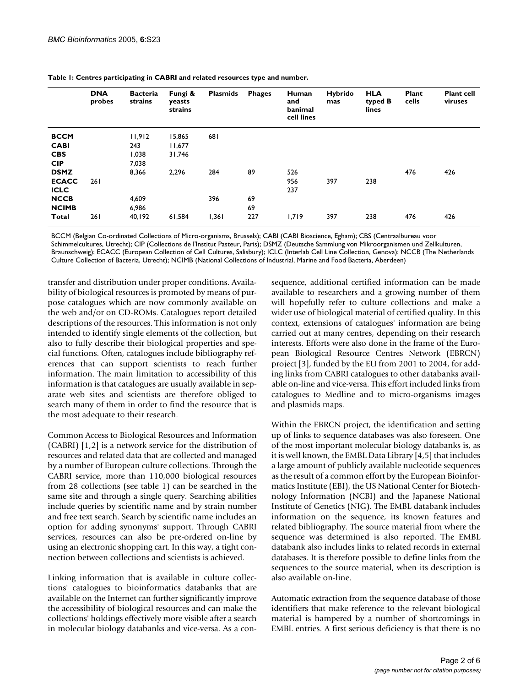|              | <b>DNA</b><br>probes | <b>Bacteria</b><br>strains | Fungi &<br>yeasts<br>strains | <b>Plasmids</b> | <b>Phages</b> | Human<br>and<br>banimal<br>cell lines | <b>Hybrido</b><br>mas | <b>HLA</b><br>typed B<br>lines | Plant<br>cells | <b>Plant cell</b><br>viruses |
|--------------|----------------------|----------------------------|------------------------------|-----------------|---------------|---------------------------------------|-----------------------|--------------------------------|----------------|------------------------------|
| <b>BCCM</b>  |                      | 11,912                     | 15,865                       | 681             |               |                                       |                       |                                |                |                              |
| <b>CABI</b>  |                      | 243                        | 11,677                       |                 |               |                                       |                       |                                |                |                              |
| <b>CBS</b>   |                      | 1,038                      | 31,746                       |                 |               |                                       |                       |                                |                |                              |
| <b>CIP</b>   |                      | 7,038                      |                              |                 |               |                                       |                       |                                |                |                              |
| <b>DSMZ</b>  |                      | 8,366                      | 2,296                        | 284             | 89            | 526                                   |                       |                                | 476            | 426                          |
| <b>ECACC</b> | 261                  |                            |                              |                 |               | 956                                   | 397                   | 238                            |                |                              |
| <b>ICLC</b>  |                      |                            |                              |                 |               | 237                                   |                       |                                |                |                              |
| <b>NCCB</b>  |                      | 4,609                      |                              | 396             | 69            |                                       |                       |                                |                |                              |
| <b>NCIMB</b> |                      | 6,986                      |                              |                 | 69            |                                       |                       |                                |                |                              |
| Total        | 261                  | 40,192                     | 61,584                       | 1,361           | 227           | 1,719                                 | 397                   | 238                            | 476            | 426                          |

**Table 1: Centres participating in CABRI and related resources type and number.** 

BCCM (Belgian Co-ordinated Collections of Micro-organisms, Brussels); CABI (CABI Bioscience, Egham); CBS (Centraalbureau voor Schimmelcultures, Utrecht); CIP (Collections de l'Institut Pasteur, Paris); DSMZ (Deutsche Sammlung von Mikroorganismen und Zellkulturen,

Braunschweig); ECACC (European Collection of Cell Cultures, Salisbury); ICLC (Interlab Cell Line Collection, Genova); NCCB (The Netherlands

Culture Collection of Bacteria, Utrecht); NCIMB (National Collections of Industrial, Marine and Food Bacteria, Aberdeen)

transfer and distribution under proper conditions. Availability of biological resources is promoted by means of purpose catalogues which are now commonly available on the web and/or on CD-ROMs. Catalogues report detailed descriptions of the resources. This information is not only intended to identify single elements of the collection, but also to fully describe their biological properties and special functions. Often, catalogues include bibliography references that can support scientists to reach further information. The main limitation to accessibility of this information is that catalogues are usually available in separate web sites and scientists are therefore obliged to search many of them in order to find the resource that is the most adequate to their research.

Common Access to Biological Resources and Information (CABRI) [1,2] is a network service for the distribution of resources and related data that are collected and managed by a number of European culture collections. Through the CABRI service, more than 110,000 biological resources from 28 collections (see table 1) can be searched in the same site and through a single query. Searching abilities include queries by scientific name and by strain number and free text search. Search by scientific name includes an option for adding synonyms' support. Through CABRI services, resources can also be pre-ordered on-line by using an electronic shopping cart. In this way, a tight connection between collections and scientists is achieved.

Linking information that is available in culture collections' catalogues to bioinformatics databanks that are available on the Internet can further significantly improve the accessibility of biological resources and can make the collections' holdings effectively more visible after a search in molecular biology databanks and vice-versa. As a consequence, additional certified information can be made available to researchers and a growing number of them will hopefully refer to culture collections and make a wider use of biological material of certified quality. In this context, extensions of catalogues' information are being carried out at many centres, depending on their research interests. Efforts were also done in the frame of the European Biological Resource Centres Network (EBRCN) project [3], funded by the EU from 2001 to 2004, for adding links from CABRI catalogues to other databanks available on-line and vice-versa. This effort included links from catalogues to Medline and to micro-organisms images and plasmids maps.

Within the EBRCN project, the identification and setting up of links to sequence databases was also foreseen. One of the most important molecular biology databanks is, as it is well known, the EMBL Data Library [4,5] that includes a large amount of publicly available nucleotide sequences as the result of a common effort by the European Bioinformatics Institute (EBI), the US National Center for Biotechnology Information (NCBI) and the Japanese National Institute of Genetics (NIG). The EMBL databank includes information on the sequence, its known features and related bibliography. The source material from where the sequence was determined is also reported. The EMBL databank also includes links to related records in external databases. It is therefore possible to define links from the sequences to the source material, when its description is also available on-line.

Automatic extraction from the sequence database of those identifiers that make reference to the relevant biological material is hampered by a number of shortcomings in EMBL entries. A first serious deficiency is that there is no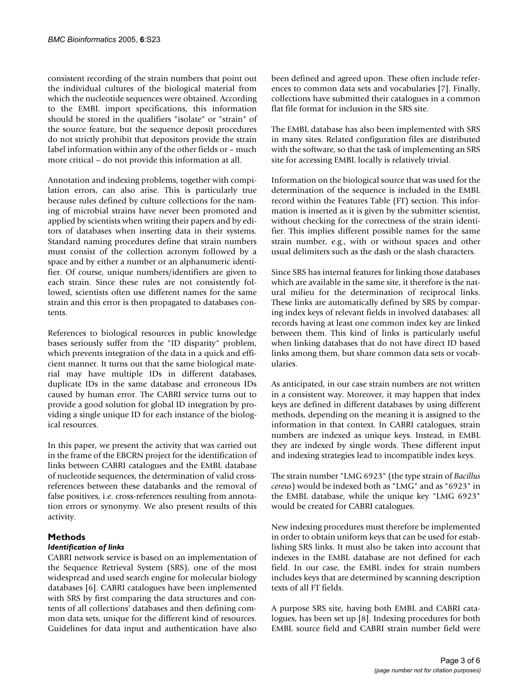consistent recording of the strain numbers that point out the individual cultures of the biological material from which the nucleotide sequences were obtained. According to the EMBL import specifications, this information should be stored in the qualifiers "isolate" or "strain" of the source feature, but the sequence deposit procedures do not strictly prohibit that depositors provide the strain label information within any of the other fields or – much more critical – do not provide this information at all.

Annotation and indexing problems, together with compilation errors, can also arise. This is particularly true because rules defined by culture collections for the naming of microbial strains have never been promoted and applied by scientists when writing their papers and by editors of databases when inserting data in their systems. Standard naming procedures define that strain numbers must consist of the collection acronym followed by a space and by either a number or an alphanumeric identifier. Of course, unique numbers/identifiers are given to each strain. Since these rules are not consistently followed, scientists often use different names for the same strain and this error is then propagated to databases contents.

References to biological resources in public knowledge bases seriously suffer from the "ID disparity" problem, which prevents integration of the data in a quick and efficient manner. It turns out that the same biological material may have multiple IDs in different databases, duplicate IDs in the same database and erroneous IDs caused by human error. The CABRI service turns out to provide a good solution for global ID integration by providing a single unique ID for each instance of the biological resources.

In this paper, we present the activity that was carried out in the frame of the EBCRN project for the identification of links between CABRI catalogues and the EMBL database of nucleotide sequences, the determination of valid crossreferences between these databanks and the removal of false positives, i.e. cross-references resulting from annotation errors or synonymy. We also present results of this activity.

# **Methods**

# *Identification of links*

CABRI network service is based on an implementation of the Sequence Retrieval System (SRS), one of the most widespread and used search engine for molecular biology databases [6]. CABRI catalogues have been implemented with SRS by first comparing the data structures and contents of all collections' databases and then defining common data sets, unique for the different kind of resources. Guidelines for data input and authentication have also

been defined and agreed upon. These often include references to common data sets and vocabularies [7]. Finally, collections have submitted their catalogues in a common flat file format for inclusion in the SRS site.

The EMBL database has also been implemented with SRS in many sites. Related configuration files are distributed with the software, so that the task of implementing an SRS site for accessing EMBL locally is relatively trivial.

Information on the biological source that was used for the determination of the sequence is included in the EMBL record within the Features Table (FT) section. This information is inserted as it is given by the submitter scientist, without checking for the correctness of the strain identifier. This implies different possible names for the same strain number, e.g., with or without spaces and other usual delimiters such as the dash or the slash characters.

Since SRS has internal features for linking those databases which are available in the same site, it therefore is the natural milieu for the determination of reciprocal links. These links are automatically defined by SRS by comparing index keys of relevant fields in involved databases: all records having at least one common index key are linked between them. This kind of links is particularly useful when linking databases that do not have direct ID based links among them, but share common data sets or vocabularies.

As anticipated, in our case strain numbers are not written in a consistent way. Moreover, it may happen that index keys are defined in different databases by using different methods, depending on the meaning it is assigned to the information in that context. In CABRI catalogues, strain numbers are indexed as unique keys. Instead, in EMBL they are indexed by single words. These different input and indexing strategies lead to incompatible index keys.

The strain number "LMG 6923" (the type strain of *Bacillus cereus*) would be indexed both as "LMG" and as "6923" in the EMBL database, while the unique key "LMG 6923" would be created for CABRI catalogues.

New indexing procedures must therefore be implemented in order to obtain uniform keys that can be used for establishing SRS links. It must also be taken into account that indexes in the EMBL database are not defined for each field. In our case, the EMBL index for strain numbers includes keys that are determined by scanning description texts of all FT fields.

A purpose SRS site, having both EMBL and CABRI catalogues, has been set up [8]. Indexing procedures for both EMBL source field and CABRI strain number field were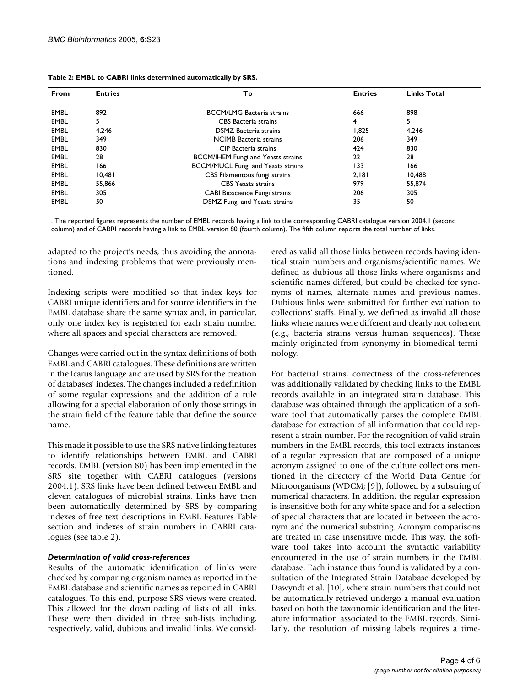| From        | <b>Entries</b> | Τo                                        | <b>Entries</b> | <b>Links Total</b> |
|-------------|----------------|-------------------------------------------|----------------|--------------------|
| EMBL        | 892            | <b>BCCM/LMG Bacteria strains</b>          | 666            | 898                |
| EMBL        | 5              | CBS Bacteria strains                      | 4              | 5                  |
| <b>EMBL</b> | 4.246          | <b>DSMZ</b> Bacteria strains              | 1,825          | 4,246              |
| EMBL        | 349            | <b>NCIMB</b> Bacteria strains             | 206            | 349                |
| EMBL        | 830            | <b>CIP</b> Bacteria strains               | 424            | 830                |
| EMBL        | 28             | BCCM/IHEM Fungi and Yeasts strains        | 22             | 28                 |
| EMBL        | 166            | <b>BCCM/MUCL Fungi and Yeasts strains</b> | 133            | 166                |
| <b>EMBL</b> | 10.481         | CBS Filamentous fungi strains             | 2.181          | 10,488             |
| EMBL        | 55.866         | <b>CBS</b> Yeasts strains                 | 979            | 55.874             |
| EMBL        | 305            | CABI Bioscience Fungi strains             | 206            | 305                |
| EMBL        | 50             | DSMZ Fungi and Yeasts strains             | 35             | 50                 |

| Table 2: EMBL to CABRI links determined automatically by SRS. |  |  |  |
|---------------------------------------------------------------|--|--|--|
|---------------------------------------------------------------|--|--|--|

. The reported figures represents the number of EMBL records having a link to the corresponding CABRI catalogue version 2004.1 (second column) and of CABRI records having a link to EMBL version 80 (fourth column). The fifth column reports the total number of links.

adapted to the project's needs, thus avoiding the annotations and indexing problems that were previously mentioned.

Indexing scripts were modified so that index keys for CABRI unique identifiers and for source identifiers in the EMBL database share the same syntax and, in particular, only one index key is registered for each strain number where all spaces and special characters are removed.

Changes were carried out in the syntax definitions of both EMBL and CABRI catalogues. These definitions are written in the Icarus language and are used by SRS for the creation of databases' indexes. The changes included a redefinition of some regular expressions and the addition of a rule allowing for a special elaboration of only those strings in the strain field of the feature table that define the source name.

This made it possible to use the SRS native linking features to identify relationships between EMBL and CABRI records. EMBL (version 80) has been implemented in the SRS site together with CABRI catalogues (versions 2004.1). SRS links have been defined between EMBL and eleven catalogues of microbial strains. Links have then been automatically determined by SRS by comparing indexes of free text descriptions in EMBL Features Table section and indexes of strain numbers in CABRI catalogues (see table 2).

# *Determination of valid cross-references*

Results of the automatic identification of links were checked by comparing organism names as reported in the EMBL database and scientific names as reported in CABRI catalogues. To this end, purpose SRS views were created. This allowed for the downloading of lists of all links. These were then divided in three sub-lists including, respectively, valid, dubious and invalid links. We considered as valid all those links between records having identical strain numbers and organisms/scientific names. We defined as dubious all those links where organisms and scientific names differed, but could be checked for synonyms of names, alternate names and previous names. Dubious links were submitted for further evaluation to collections' staffs. Finally, we defined as invalid all those links where names were different and clearly not coherent (e.g., bacteria strains versus human sequences). These mainly originated from synonymy in biomedical terminology.

For bacterial strains, correctness of the cross-references was additionally validated by checking links to the EMBL records available in an integrated strain database. This database was obtained through the application of a software tool that automatically parses the complete EMBL database for extraction of all information that could represent a strain number. For the recognition of valid strain numbers in the EMBL records, this tool extracts instances of a regular expression that are composed of a unique acronym assigned to one of the culture collections mentioned in the directory of the World Data Centre for Microorganisms (WDCM; [9]), followed by a substring of numerical characters. In addition, the regular expression is insensitive both for any white space and for a selection of special characters that are located in between the acronym and the numerical substring. Acronym comparisons are treated in case insensitive mode. This way, the software tool takes into account the syntactic variability encountered in the use of strain numbers in the EMBL database. Each instance thus found is validated by a consultation of the Integrated Strain Database developed by Dawyndt et al. [10], where strain numbers that could not be automatically retrieved undergo a manual evaluation based on both the taxonomic identification and the literature information associated to the EMBL records. Similarly, the resolution of missing labels requires a time-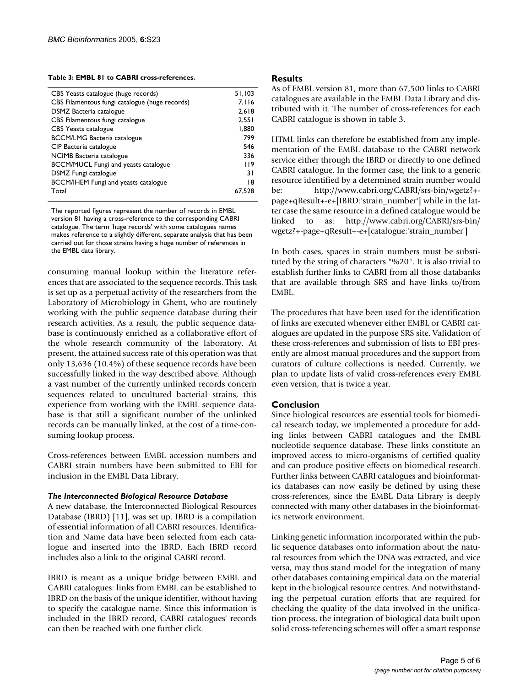#### **Table 3: EMBL 81 to CABRI cross-references.**

| CBS Yeasts catalogue (huge records)            | 51,103 |
|------------------------------------------------|--------|
| CBS Filamentous fungi catalogue (huge records) | 7,116  |
| DSMZ Bacteria catalogue                        | 2,618  |
| CBS Filamentous fungi catalogue                | 2,551  |
| CBS Yeasts catalogue                           | 1,880  |
| <b>BCCM/LMG Bacteria catalogue</b>             | 799    |
| CIP Bacteria catalogue                         | 546    |
| NCIMB Bacteria catalogue                       | 336    |
| BCCM/MUCL Fungi and yeasts catalogue           | 119    |
| DSMZ Fungi catalogue                           | 31     |
| BCCM/IHEM Fungi and yeasts catalogue           | 18     |
| Total                                          | 67.528 |
|                                                |        |

The reported figures represent the number of records in EMBL version 81 having a cross-reference to the corresponding CABRI catalogue. The term 'huge records' with some catalogues names makes reference to a slightly different, separate analysis that has been carried out for those strains having a huge number of references in the EMBL data library.

consuming manual lookup within the literature references that are associated to the sequence records. This task is set up as a perpetual activity of the researchers from the Laboratory of Microbiology in Ghent, who are routinely working with the public sequence database during their research activities. As a result, the public sequence database is continuously enriched as a collaborative effort of the whole research community of the laboratory. At present, the attained success rate of this operation was that only 13,636 (10.4%) of these sequence records have been successfully linked in the way described above. Although a vast number of the currently unlinked records concern sequences related to uncultured bacterial strains, this experience from working with the EMBL sequence database is that still a significant number of the unlinked records can be manually linked, at the cost of a time-consuming lookup process.

Cross-references between EMBL accession numbers and CABRI strain numbers have been submitted to EBI for inclusion in the EMBL Data Library.

#### *The Interconnected Biological Resource Database*

A new database, the Interconnected Biological Resources Database (IBRD) [11], was set up. IBRD is a compilation of essential information of all CABRI resources. Identification and Name data have been selected from each catalogue and inserted into the IBRD. Each IBRD record includes also a link to the original CABRI record.

IBRD is meant as a unique bridge between EMBL and CABRI catalogues: links from EMBL can be established to IBRD on the basis of the unique identifier, without having to specify the catalogue name. Since this information is included in the IBRD record, CABRI catalogues' records can then be reached with one further click.

# **Results**

As of EMBL version 81, more than 67,500 links to CABRI catalogues are available in the EMBL Data Library and distributed with it. The number of cross-references for each CABRI catalogue is shown in table 3.

HTML links can therefore be established from any implementation of the EMBL database to the CABRI network service either through the IBRD or directly to one defined CABRI catalogue. In the former case, the link to a generic resource identified by a determined strain number would be: http://www.cabri.org/CABRI/srs-bin/wgetz?+ page+qResult+-e+[IBRD:'strain\_number'] while in the latter case the same resource in a defined catalogue would be linked to as: http://www.cabri.org/CABRI/srs-bin/ wgetz?+-page+qResult+-e+[catalogue:'strain\_number']

In both cases, spaces in strain numbers must be substituted by the string of characters "%20". It is also trivial to establish further links to CABRI from all those databanks that are available through SRS and have links to/from EMBL.

The procedures that have been used for the identification of links are executed whenever either EMBL or CABRI catalogues are updated in the purpose SRS site. Validation of these cross-references and submission of lists to EBI presently are almost manual procedures and the support from curators of culture collections is needed. Currently, we plan to update lists of valid cross-references every EMBL even version, that is twice a year.

# **Conclusion**

Since biological resources are essential tools for biomedical research today, we implemented a procedure for adding links between CABRI catalogues and the EMBL nucleotide sequence database. These links constitute an improved access to micro-organisms of certified quality and can produce positive effects on biomedical research. Further links between CABRI catalogues and bioinformatics databases can now easily be defined by using these cross-references, since the EMBL Data Library is deeply connected with many other databases in the bioinformatics network environment.

Linking genetic information incorporated within the public sequence databases onto information about the natural resources from which the DNA was extracted, and vice versa, may thus stand model for the integration of many other databases containing empirical data on the material kept in the biological resource centres. And notwithstanding the perpetual curation efforts that are required for checking the quality of the data involved in the unification process, the integration of biological data built upon solid cross-referencing schemes will offer a smart response